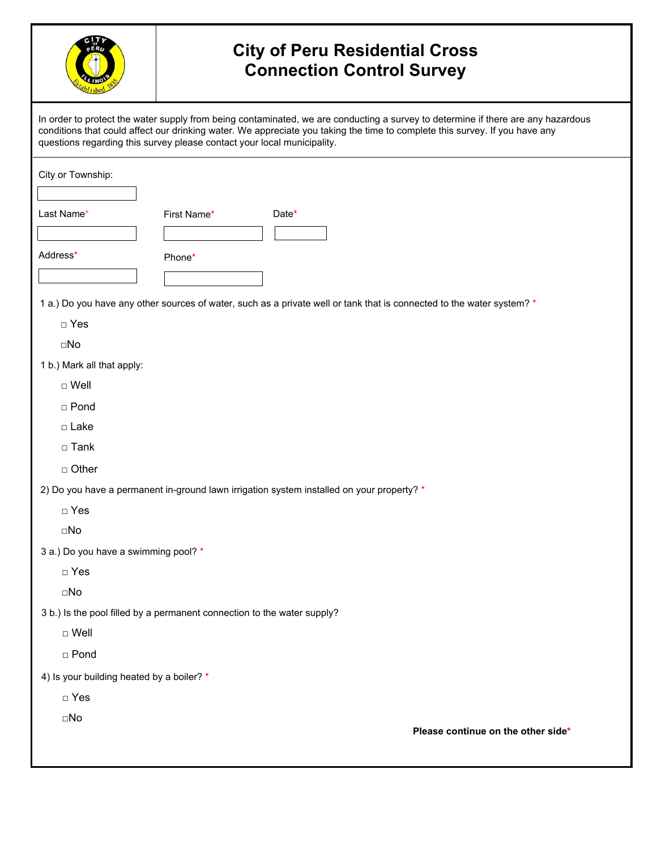

## **City of Peru Residential Cross Connection Control Survey**

In order to protect the water supply from being contaminated, we are conducting a survey to determine if there are any hazardous conditions that could affect our drinking water. We appreciate you taking the time to complete this survey. If you have any questions regarding this survey please contact your local municipality. City or Township: 1 a.) Do you have any other sources of water, such as a private well or tank that is connected to the water system? \* □ Yes □No Last Name\* Date\* First Name\* Address\* Phone\* 1 b.) Mark all that apply: □ Well  $\Box$  Tank □ Pond □ Lake □ Other 2) Do you have a permanent in-ground lawn irrigation system installed on your property? \* □ Yes □No 3 a.) Do you have a swimming pool? \* □ Yes □No 3 b.) Is the pool filled by a permanent connection to the water supply? □ Well

□ Pond

4) Is your building heated by a boiler? \*

□ Yes

□No

**Please continue on the other side\***